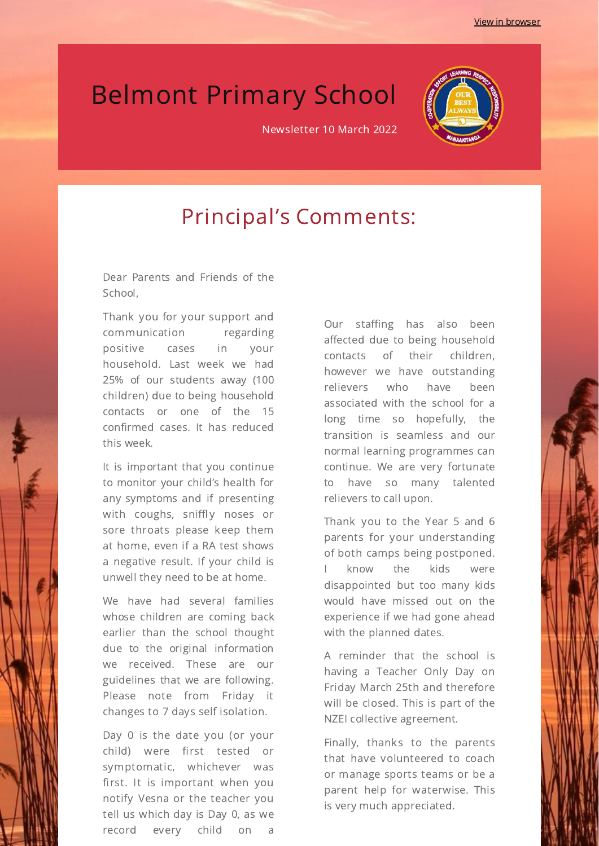## Belmont Primary School

Newsletter 10 March 2022



#### Principal's Comments:

Dear Parents and Friends of the School,

Thank you for your support and communication regarding positive cases in your household. Last week we had 25% of our students away (100 children) due to being household contacts or one of the 15 confirmed cases. It has reduced this week.

It is important that you continue to monitor your child's health for any symptoms and if presenting with coughs, sniffly noses or sore throats please keep them at home, even if a RA test shows a negative result. If your child is unwell they need to be at home.

We have had several families whose children are coming back earlier than the school thought due to the original information we received. These are our guidelines that we are following. Please note from Friday it changes to 7 days self isolation.

Day 0 is the date you (or your child) were first tested or symptomatic, whichever was first. It is important when you notify Vesna or the teacher you tell us which day is Day 0, as we record every child on a Our staffing has also been affected due to being household contacts of their children, however we have outstanding relievers who have been associated with the school for a long time so hopefully, the transition is seamless and our normal learning programmes can continue. We are very fortunate to have so many talented relievers to call upon.

Thank you to the Year 5 and 6 parents for your understanding of both camps being postponed. know the kids were disappointed but too many kids would have missed out on the experience if we had gone ahead with the planned dates.

A reminder that the school is having a Teacher Only Day on Friday March 25th and therefore will be closed. This is part of the NZEI collective agreement.

Finally, thanks to the parents that have volunteered to coach or manage sports teams or be a parent help for waterwise. This is very much appreciated.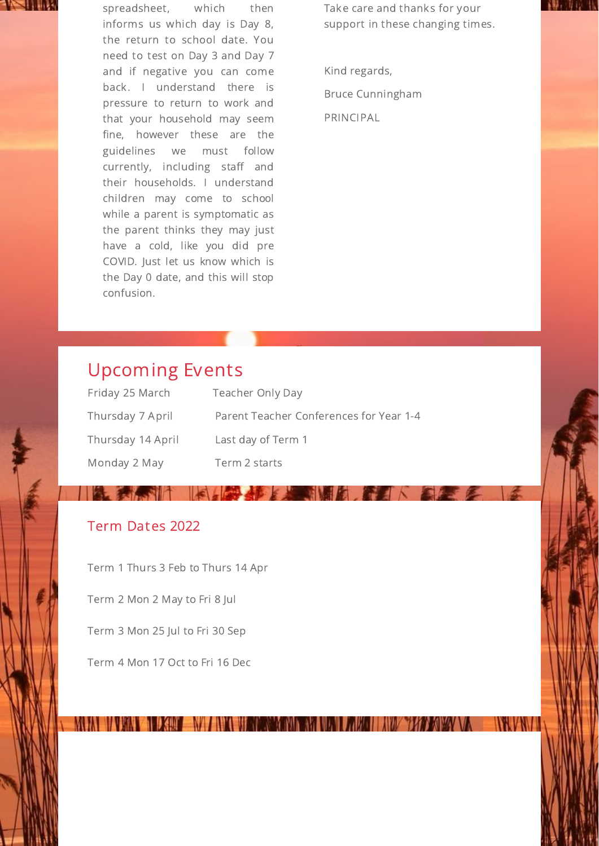

spreadsheet, which then informs us which day is Day 8, the return to school date. You need to test on Day 3 and Day 7 and if negative you can come back. I understand there is pressure to return to work and that your household may seem fine, however these are the guidelines we must follow currently, including staff and their households. I understand children may come to school while a parent is symptomatic as the parent thinks they may just have a cold, like you did pre COVID. Just let us know which is the Day 0 date, and this will stop confusion.

Take care and thanks for your support in these changing times.

Kind regards, Bruce Cunningham PRINCIPAL

#### Upcoming Events

| Friday 25 March   | <b>Teacher Only Day</b>                 |
|-------------------|-----------------------------------------|
| Thursday 7 April  | Parent Teacher Conferences for Year 1-4 |
| Thursday 14 April | Last day of Term 1                      |
| Monday 2 May      | Term 2 starts                           |

 $\mathbb{T} \times \mathbb{R}$ 

**KING OF START AND REAL PROPERTY** 

#### Term Dates 2022

seila

Term 1 Thurs 3 Feb to Thurs 14 Apr

Term 2 Mon 2 May to Fri 8 Jul

Term 3 Mon 25 Jul to Fri 30 Sep

Term 4 Mon 17 Oct to Fri 16 Dec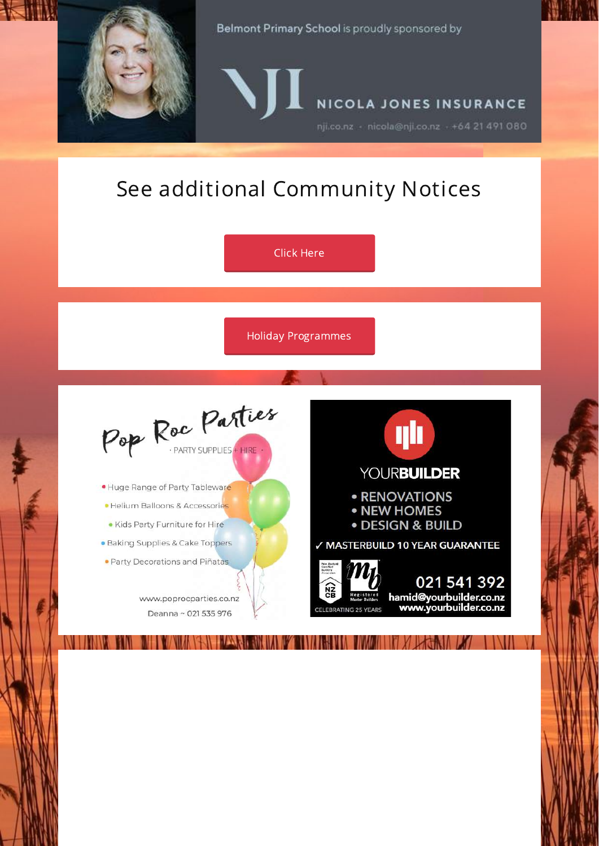

Belmont Primary School is proudly sponsored by

NICOLA JONES INSURANCE

nji.co.nz - nicola@nji.co.nz - +64 21 491 080

### See additional Community Notices

Click [Here](https://www.belmont.school.nz/community-notices.html) Holiday [Programmes](https://www.belmont.school.nz/holiday-programmes-and-events.html)Pop Roc Parties **ylı YOURBUILDER** · Huge Range of Party Tableware **• RENOVATIONS** · Helium Balloons & Accessories • NEW HOMES · DESIGN & BUILD · Kids Party Furniture for Hire · Baking Supplies & Cake Toppers √ MASTERBUILD 10 YEAR GUARANTEE · Party Decorations and Piñatas 021 541 392 hamid@yourbuilder.co.nz<br>www.yourbuilder.co.nz www.poprocparties.co.nz ELEBRATING 25 YEARS Deanna ~ 021 535 976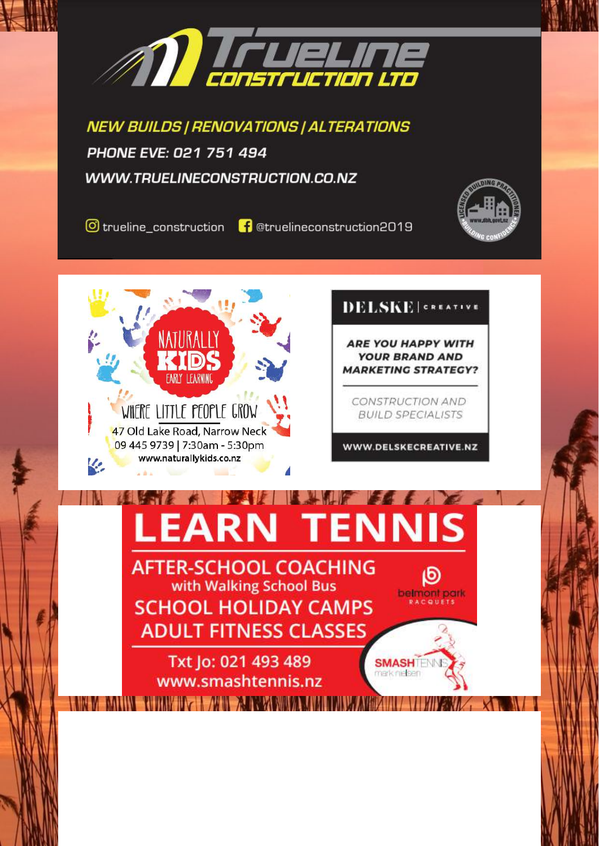

**NEW BUILDS | RENOVATIONS | ALTERATIONS** PHONE EVE: 021 751 494 WWW.TRUELINECONSTRUCTION.CO.NZ



**O** trueline construction

**f** @truelineconstruction2019



#### **DELSKE** | GREATIVE

**ARE YOU HAPPY WITH YOUR BRAND AND MARKETING STRATEGY?** 

**CONSTRUCTION AND BUILD SPECIALISTS** 

WWW.DELSKECREATIVE.NZ

டு

belmont park

**SMASHILM** merk nielsen

## **LEARN TENNIS**

**AFTER-SCHOOL COACHING** with Walking School Bus **SCHOOL HOLIDAY CAMPS ADULT FITNESS CLASSES** 

Txt Jo: 021 493 489 www.smashtennis.nz WHIPE MARINE A REPORT